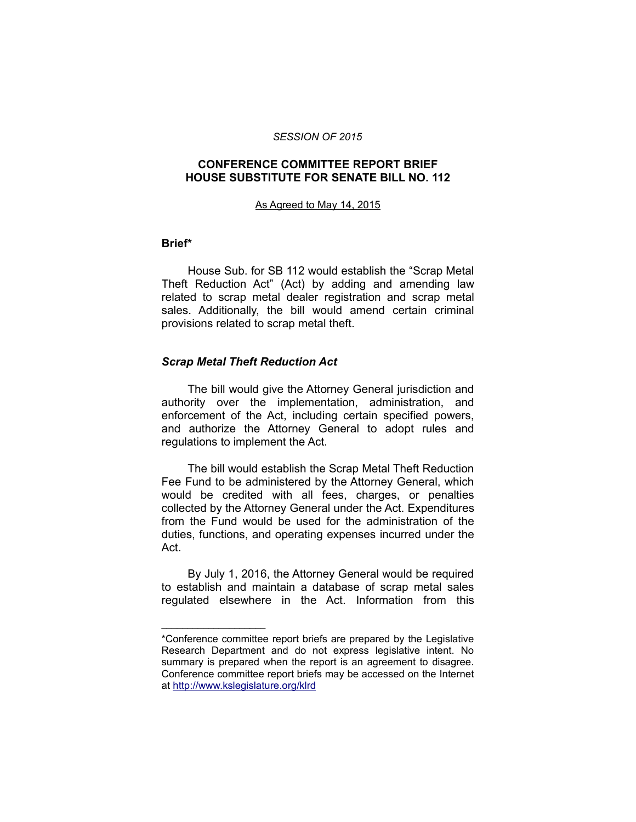#### *SESSION OF 2015*

# **CONFERENCE COMMITTEE REPORT BRIEF HOUSE SUBSTITUTE FOR SENATE BILL NO. 112**

#### As Agreed to May 14, 2015

### **Brief\***

House Sub. for SB 112 would establish the "Scrap Metal Theft Reduction Act" (Act) by adding and amending law related to scrap metal dealer registration and scrap metal sales. Additionally, the bill would amend certain criminal provisions related to scrap metal theft.

### *Scrap Metal Theft Reduction Act*

\_\_\_\_\_\_\_\_\_\_\_\_\_\_\_\_\_\_\_\_

The bill would give the Attorney General jurisdiction and authority over the implementation, administration, and enforcement of the Act, including certain specified powers, and authorize the Attorney General to adopt rules and regulations to implement the Act.

The bill would establish the Scrap Metal Theft Reduction Fee Fund to be administered by the Attorney General, which would be credited with all fees, charges, or penalties collected by the Attorney General under the Act. Expenditures from the Fund would be used for the administration of the duties, functions, and operating expenses incurred under the Act.

By July 1, 2016, the Attorney General would be required to establish and maintain a database of scrap metal sales regulated elsewhere in the Act. Information from this

<sup>\*</sup>Conference committee report briefs are prepared by the Legislative Research Department and do not express legislative intent. No summary is prepared when the report is an agreement to disagree. Conference committee report briefs may be accessed on the Internet at<http://www.kslegislature.org/klrd>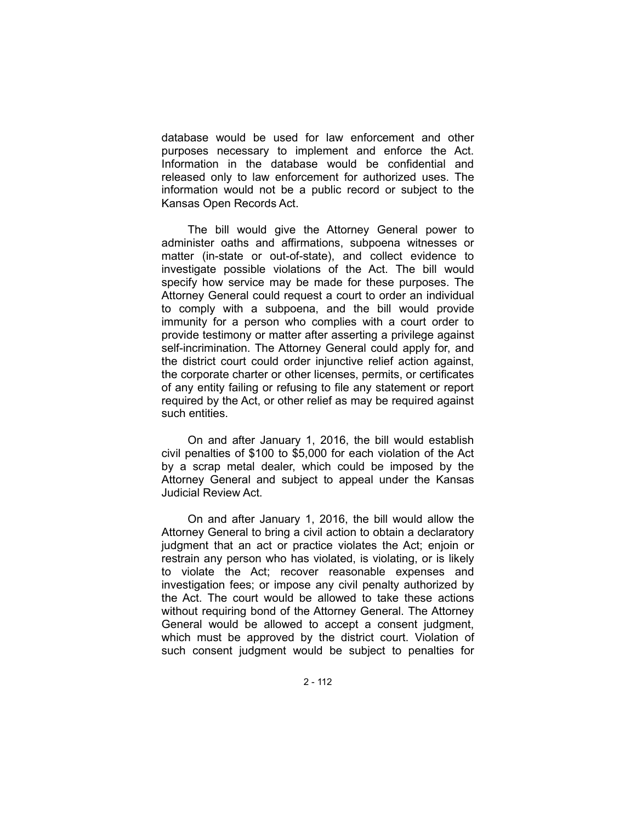database would be used for law enforcement and other purposes necessary to implement and enforce the Act. Information in the database would be confidential and released only to law enforcement for authorized uses. The information would not be a public record or subject to the Kansas Open Records Act.

The bill would give the Attorney General power to administer oaths and affirmations, subpoena witnesses or matter (in-state or out-of-state), and collect evidence to investigate possible violations of the Act. The bill would specify how service may be made for these purposes. The Attorney General could request a court to order an individual to comply with a subpoena, and the bill would provide immunity for a person who complies with a court order to provide testimony or matter after asserting a privilege against self-incrimination. The Attorney General could apply for, and the district court could order injunctive relief action against, the corporate charter or other licenses, permits, or certificates of any entity failing or refusing to file any statement or report required by the Act, or other relief as may be required against such entities.

On and after January 1, 2016, the bill would establish civil penalties of \$100 to \$5,000 for each violation of the Act by a scrap metal dealer, which could be imposed by the Attorney General and subject to appeal under the Kansas Judicial Review Act.

On and after January 1, 2016, the bill would allow the Attorney General to bring a civil action to obtain a declaratory judgment that an act or practice violates the Act; enjoin or restrain any person who has violated, is violating, or is likely to violate the Act; recover reasonable expenses and investigation fees; or impose any civil penalty authorized by the Act. The court would be allowed to take these actions without requiring bond of the Attorney General. The Attorney General would be allowed to accept a consent judgment, which must be approved by the district court. Violation of such consent judgment would be subject to penalties for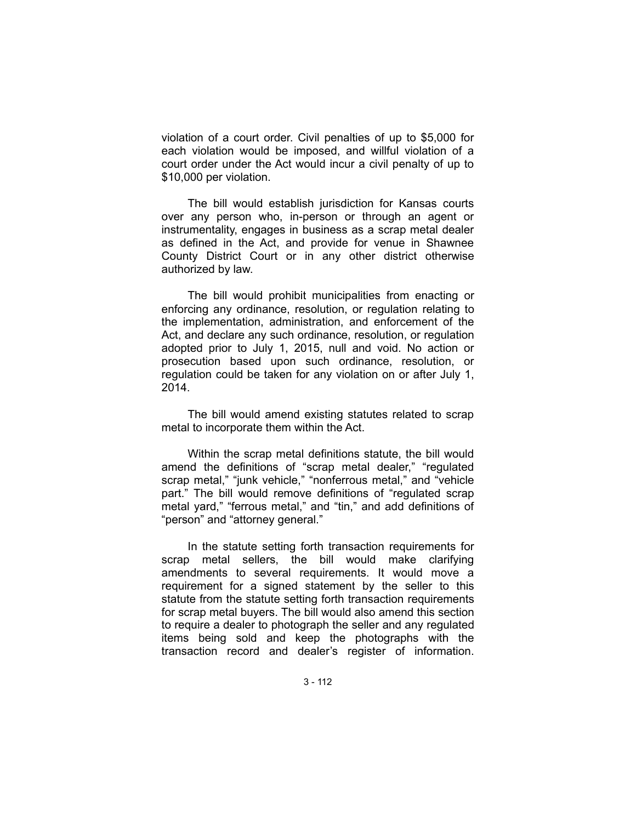violation of a court order. Civil penalties of up to \$5,000 for each violation would be imposed, and willful violation of a court order under the Act would incur a civil penalty of up to \$10,000 per violation.

The bill would establish jurisdiction for Kansas courts over any person who, in-person or through an agent or instrumentality, engages in business as a scrap metal dealer as defined in the Act, and provide for venue in Shawnee County District Court or in any other district otherwise authorized by law.

The bill would prohibit municipalities from enacting or enforcing any ordinance, resolution, or regulation relating to the implementation, administration, and enforcement of the Act, and declare any such ordinance, resolution, or regulation adopted prior to July 1, 2015, null and void. No action or prosecution based upon such ordinance, resolution, or regulation could be taken for any violation on or after July 1, 2014.

The bill would amend existing statutes related to scrap metal to incorporate them within the Act.

Within the scrap metal definitions statute, the bill would amend the definitions of "scrap metal dealer," "regulated scrap metal," "junk vehicle," "nonferrous metal," and "vehicle part." The bill would remove definitions of "regulated scrap metal yard," "ferrous metal," and "tin," and add definitions of "person" and "attorney general."

In the statute setting forth transaction requirements for scrap metal sellers, the bill would make clarifying amendments to several requirements. It would move a requirement for a signed statement by the seller to this statute from the statute setting forth transaction requirements for scrap metal buyers. The bill would also amend this section to require a dealer to photograph the seller and any regulated items being sold and keep the photographs with the transaction record and dealer's register of information.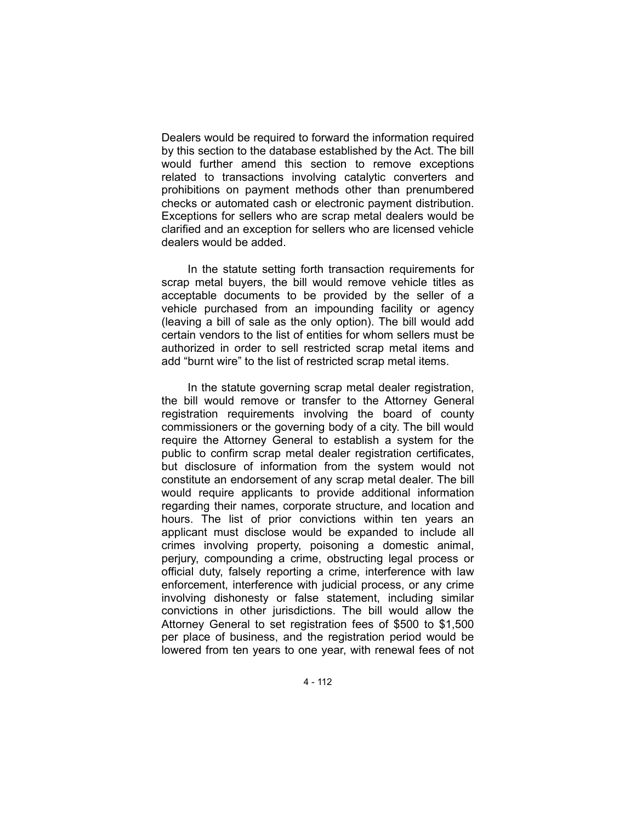Dealers would be required to forward the information required by this section to the database established by the Act. The bill would further amend this section to remove exceptions related to transactions involving catalytic converters and prohibitions on payment methods other than prenumbered checks or automated cash or electronic payment distribution. Exceptions for sellers who are scrap metal dealers would be clarified and an exception for sellers who are licensed vehicle dealers would be added.

In the statute setting forth transaction requirements for scrap metal buyers, the bill would remove vehicle titles as acceptable documents to be provided by the seller of a vehicle purchased from an impounding facility or agency (leaving a bill of sale as the only option). The bill would add certain vendors to the list of entities for whom sellers must be authorized in order to sell restricted scrap metal items and add "burnt wire" to the list of restricted scrap metal items.

In the statute governing scrap metal dealer registration, the bill would remove or transfer to the Attorney General registration requirements involving the board of county commissioners or the governing body of a city. The bill would require the Attorney General to establish a system for the public to confirm scrap metal dealer registration certificates, but disclosure of information from the system would not constitute an endorsement of any scrap metal dealer. The bill would require applicants to provide additional information regarding their names, corporate structure, and location and hours. The list of prior convictions within ten years an applicant must disclose would be expanded to include all crimes involving property, poisoning a domestic animal, perjury, compounding a crime, obstructing legal process or official duty, falsely reporting a crime, interference with law enforcement, interference with judicial process, or any crime involving dishonesty or false statement, including similar convictions in other jurisdictions. The bill would allow the Attorney General to set registration fees of \$500 to \$1,500 per place of business, and the registration period would be lowered from ten years to one year, with renewal fees of not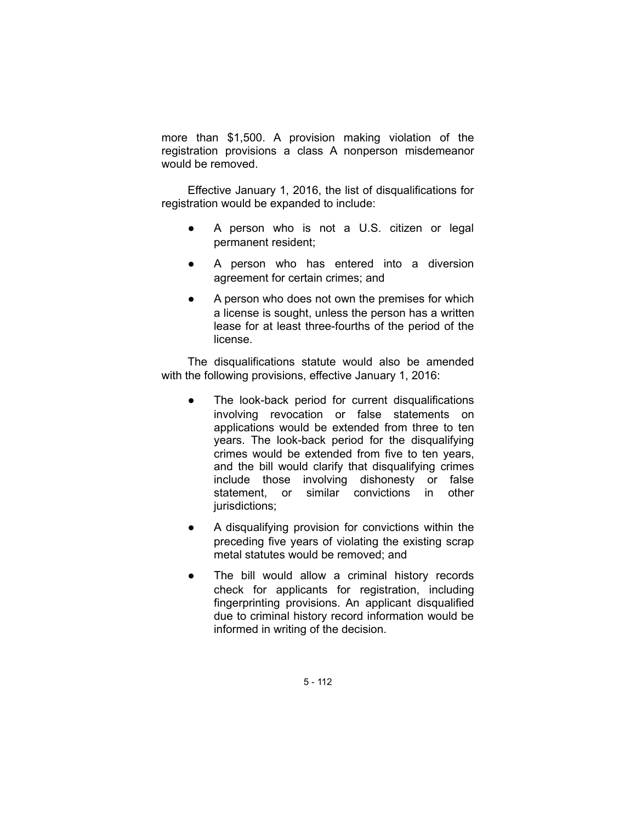more than \$1,500. A provision making violation of the registration provisions a class A nonperson misdemeanor would be removed.

Effective January 1, 2016, the list of disqualifications for registration would be expanded to include:

- A person who is not a U.S. citizen or legal permanent resident;
- A person who has entered into a diversion agreement for certain crimes; and
- A person who does not own the premises for which a license is sought, unless the person has a written lease for at least three-fourths of the period of the license.

The disqualifications statute would also be amended with the following provisions, effective January 1, 2016:

- The look-back period for current disqualifications involving revocation or false statements on applications would be extended from three to ten years. The look-back period for the disqualifying crimes would be extended from five to ten years, and the bill would clarify that disqualifying crimes include those involving dishonesty or false statement, or similar convictions in other jurisdictions;
- A disqualifying provision for convictions within the preceding five years of violating the existing scrap metal statutes would be removed; and
- The bill would allow a criminal history records check for applicants for registration, including fingerprinting provisions. An applicant disqualified due to criminal history record information would be informed in writing of the decision.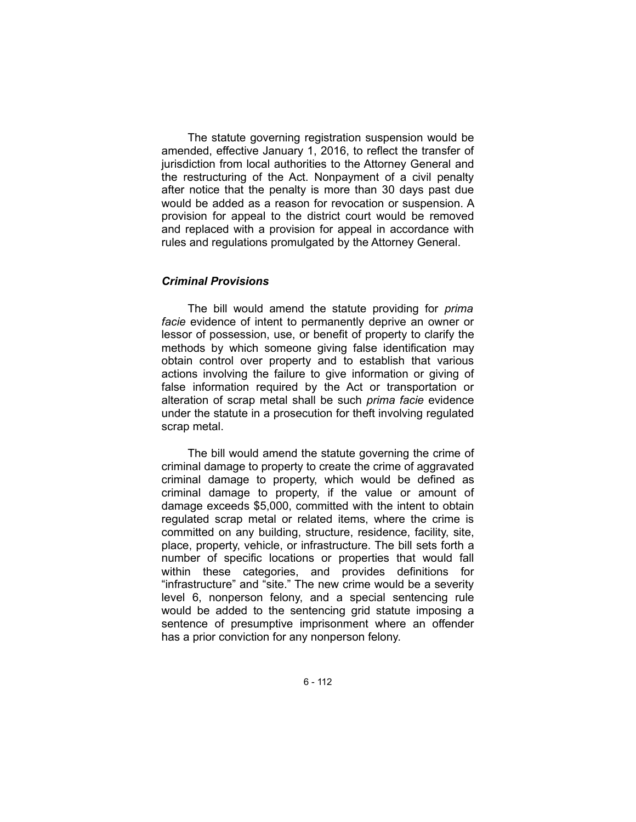The statute governing registration suspension would be amended, effective January 1, 2016, to reflect the transfer of jurisdiction from local authorities to the Attorney General and the restructuring of the Act. Nonpayment of a civil penalty after notice that the penalty is more than 30 days past due would be added as a reason for revocation or suspension. A provision for appeal to the district court would be removed and replaced with a provision for appeal in accordance with rules and regulations promulgated by the Attorney General.

# *Criminal Provisions*

The bill would amend the statute providing for *prima facie* evidence of intent to permanently deprive an owner or lessor of possession, use, or benefit of property to clarify the methods by which someone giving false identification may obtain control over property and to establish that various actions involving the failure to give information or giving of false information required by the Act or transportation or alteration of scrap metal shall be such *prima facie* evidence under the statute in a prosecution for theft involving regulated scrap metal.

The bill would amend the statute governing the crime of criminal damage to property to create the crime of aggravated criminal damage to property, which would be defined as criminal damage to property, if the value or amount of damage exceeds \$5,000, committed with the intent to obtain regulated scrap metal or related items, where the crime is committed on any building, structure, residence, facility, site, place, property, vehicle, or infrastructure. The bill sets forth a number of specific locations or properties that would fall within these categories, and provides definitions for "infrastructure" and "site." The new crime would be a severity level 6, nonperson felony, and a special sentencing rule would be added to the sentencing grid statute imposing a sentence of presumptive imprisonment where an offender has a prior conviction for any nonperson felony.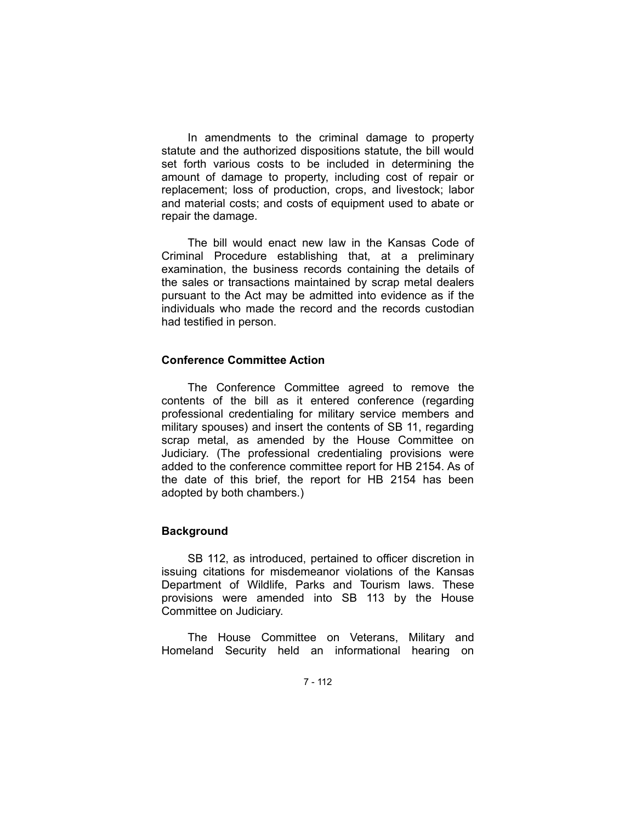In amendments to the criminal damage to property statute and the authorized dispositions statute, the bill would set forth various costs to be included in determining the amount of damage to property, including cost of repair or replacement; loss of production, crops, and livestock; labor and material costs; and costs of equipment used to abate or repair the damage.

The bill would enact new law in the Kansas Code of Criminal Procedure establishing that, at a preliminary examination, the business records containing the details of the sales or transactions maintained by scrap metal dealers pursuant to the Act may be admitted into evidence as if the individuals who made the record and the records custodian had testified in person.

## **Conference Committee Action**

The Conference Committee agreed to remove the contents of the bill as it entered conference (regarding professional credentialing for military service members and military spouses) and insert the contents of SB 11, regarding scrap metal, as amended by the House Committee on Judiciary. (The professional credentialing provisions were added to the conference committee report for HB 2154. As of the date of this brief, the report for HB 2154 has been adopted by both chambers.)

# **Background**

SB 112, as introduced, pertained to officer discretion in issuing citations for misdemeanor violations of the Kansas Department of Wildlife, Parks and Tourism laws. These provisions were amended into SB 113 by the House Committee on Judiciary.

The House Committee on Veterans, Military and Homeland Security held an informational hearing on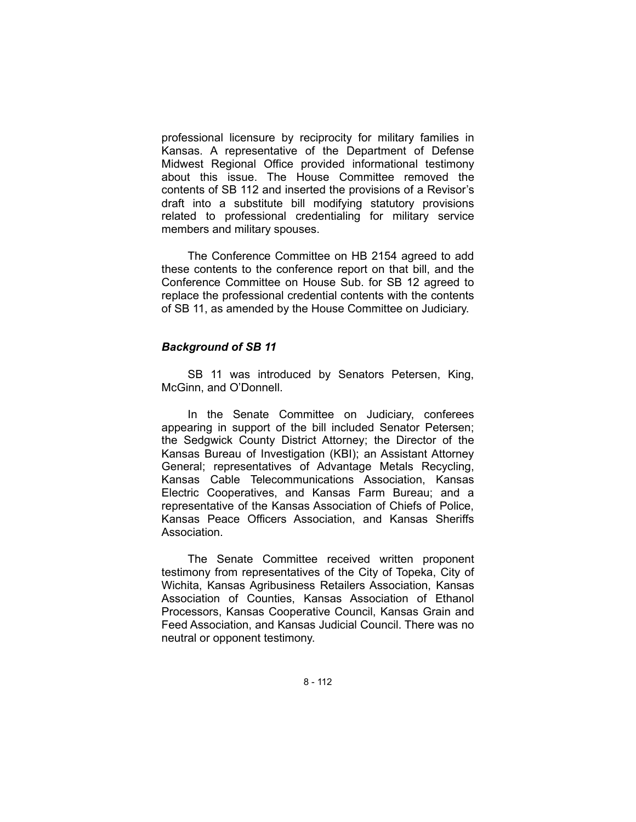professional licensure by reciprocity for military families in Kansas. A representative of the Department of Defense Midwest Regional Office provided informational testimony about this issue. The House Committee removed the contents of SB 112 and inserted the provisions of a Revisor's draft into a substitute bill modifying statutory provisions related to professional credentialing for military service members and military spouses.

The Conference Committee on HB 2154 agreed to add these contents to the conference report on that bill, and the Conference Committee on House Sub. for SB 12 agreed to replace the professional credential contents with the contents of SB 11, as amended by the House Committee on Judiciary.

## *Background of SB 11*

SB 11 was introduced by Senators Petersen, King, McGinn, and O'Donnell.

In the Senate Committee on Judiciary, conferees appearing in support of the bill included Senator Petersen; the Sedgwick County District Attorney; the Director of the Kansas Bureau of Investigation (KBI); an Assistant Attorney General; representatives of Advantage Metals Recycling, Kansas Cable Telecommunications Association, Kansas Electric Cooperatives, and Kansas Farm Bureau; and a representative of the Kansas Association of Chiefs of Police, Kansas Peace Officers Association, and Kansas Sheriffs Association.

The Senate Committee received written proponent testimony from representatives of the City of Topeka, City of Wichita, Kansas Agribusiness Retailers Association, Kansas Association of Counties, Kansas Association of Ethanol Processors, Kansas Cooperative Council, Kansas Grain and Feed Association, and Kansas Judicial Council. There was no neutral or opponent testimony.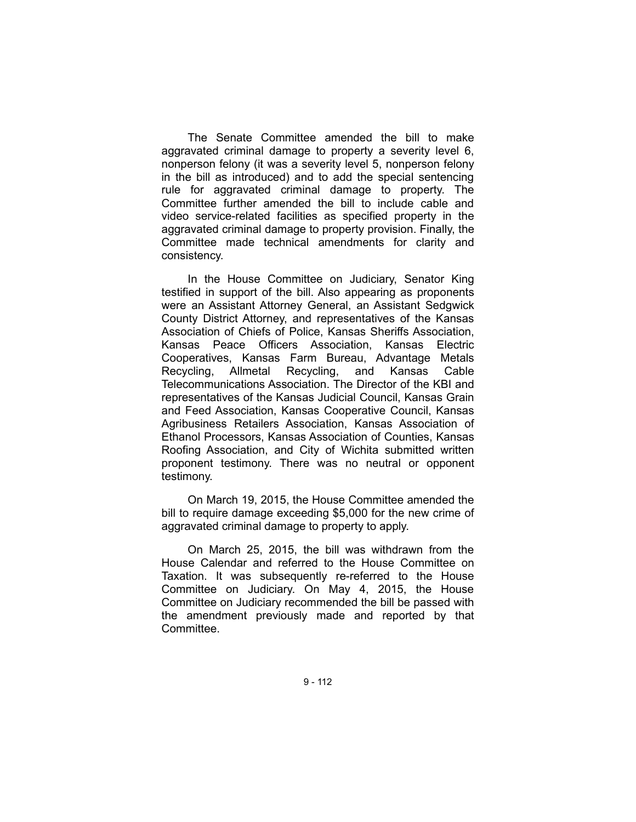The Senate Committee amended the bill to make aggravated criminal damage to property a severity level 6, nonperson felony (it was a severity level 5, nonperson felony in the bill as introduced) and to add the special sentencing rule for aggravated criminal damage to property. The Committee further amended the bill to include cable and video service-related facilities as specified property in the aggravated criminal damage to property provision. Finally, the Committee made technical amendments for clarity and consistency.

In the House Committee on Judiciary, Senator King testified in support of the bill. Also appearing as proponents were an Assistant Attorney General, an Assistant Sedgwick County District Attorney, and representatives of the Kansas Association of Chiefs of Police, Kansas Sheriffs Association, Kansas Peace Officers Association, Kansas Electric Cooperatives, Kansas Farm Bureau, Advantage Metals Recycling, Allmetal Recycling, and Kansas Cable Telecommunications Association. The Director of the KBI and representatives of the Kansas Judicial Council, Kansas Grain and Feed Association, Kansas Cooperative Council, Kansas Agribusiness Retailers Association, Kansas Association of Ethanol Processors, Kansas Association of Counties, Kansas Roofing Association, and City of Wichita submitted written proponent testimony. There was no neutral or opponent testimony.

On March 19, 2015, the House Committee amended the bill to require damage exceeding \$5,000 for the new crime of aggravated criminal damage to property to apply.

On March 25, 2015, the bill was withdrawn from the House Calendar and referred to the House Committee on Taxation. It was subsequently re-referred to the House Committee on Judiciary. On May 4, 2015, the House Committee on Judiciary recommended the bill be passed with the amendment previously made and reported by that Committee.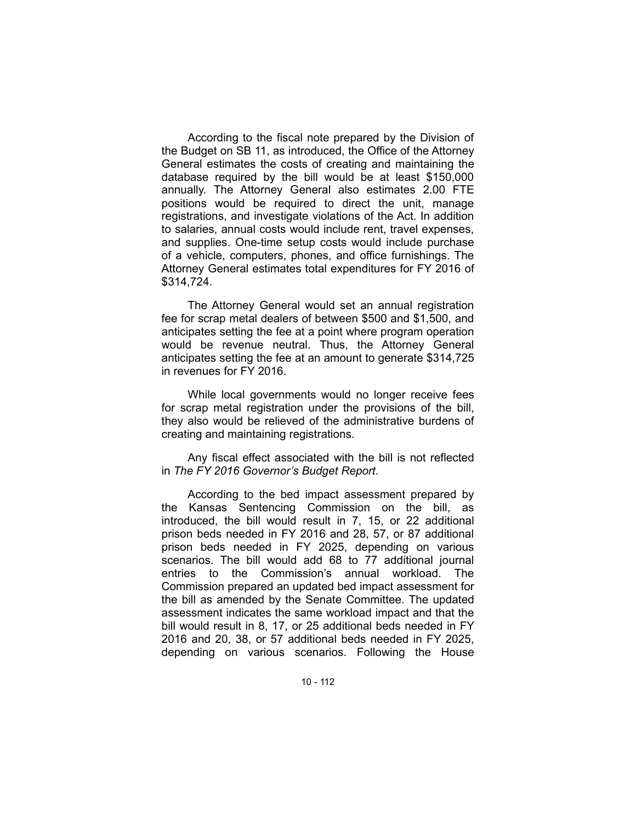According to the fiscal note prepared by the Division of the Budget on SB 11, as introduced, the Office of the Attorney General estimates the costs of creating and maintaining the database required by the bill would be at least \$150,000 annually. The Attorney General also estimates 2.00 FTE positions would be required to direct the unit, manage registrations, and investigate violations of the Act. In addition to salaries, annual costs would include rent, travel expenses, and supplies. One-time setup costs would include purchase of a vehicle, computers, phones, and office furnishings. The Attorney General estimates total expenditures for FY 2016 of \$314,724.

The Attorney General would set an annual registration fee for scrap metal dealers of between \$500 and \$1,500, and anticipates setting the fee at a point where program operation would be revenue neutral. Thus, the Attorney General anticipates setting the fee at an amount to generate \$314,725 in revenues for FY 2016.

While local governments would no longer receive fees for scrap metal registration under the provisions of the bill, they also would be relieved of the administrative burdens of creating and maintaining registrations.

Any fiscal effect associated with the bill is not reflected in *The FY 2016 Governor's Budget Report*.

According to the bed impact assessment prepared by the Kansas Sentencing Commission on the bill, as introduced, the bill would result in 7, 15, or 22 additional prison beds needed in FY 2016 and 28, 57, or 87 additional prison beds needed in FY 2025, depending on various scenarios. The bill would add 68 to 77 additional journal entries to the Commission's annual workload. The Commission prepared an updated bed impact assessment for the bill as amended by the Senate Committee. The updated assessment indicates the same workload impact and that the bill would result in 8, 17, or 25 additional beds needed in FY 2016 and 20, 38, or 57 additional beds needed in FY 2025, depending on various scenarios. Following the House